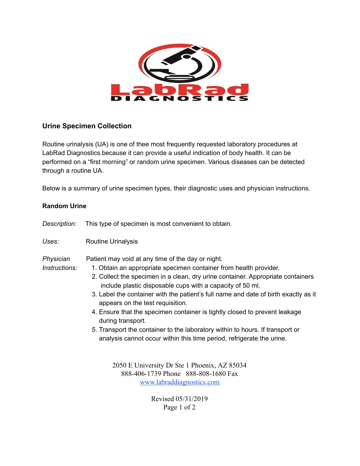

## **Urine Specimen Collection**

Routine urinalysis (UA) is one of thee most frequently requested laboratory procedures at LabRad Diagnostics.because it can provide a useful indication of body health. It can be performed on a "first morning" or random urine specimen. Various diseases can be detected through a routine UA.

Below is a summary of urine specimen types, their diagnostic uses and physician instructions.

## **Random Urine**

| Description:               | This type of specimen is most convenient to obtain.                                                                                                                                                                                                                                                                                                                                                                                                                                                                                                                                                                                                            |
|----------------------------|----------------------------------------------------------------------------------------------------------------------------------------------------------------------------------------------------------------------------------------------------------------------------------------------------------------------------------------------------------------------------------------------------------------------------------------------------------------------------------------------------------------------------------------------------------------------------------------------------------------------------------------------------------------|
| Uses:                      | <b>Routine Urinalysis</b>                                                                                                                                                                                                                                                                                                                                                                                                                                                                                                                                                                                                                                      |
| Physician<br>Instructions: | Patient may void at any time of the day or night.<br>1. Obtain an appropriate specimen container from health provider.<br>2. Collect the specimen in a clean, dry urine container. Appropriate containers<br>include plastic disposable cups with a capacity of 50 ml.<br>3. Label the container with the patient's full name and date of birth exactly as it<br>appears on the test requisition.<br>4. Ensure that the specimen container is tightly closed to prevent leakage<br>during transport.<br>5. Transport the container to the laboratory within to hours. If transport or<br>analysis cannot occur within this time period, refrigerate the urine. |
|                            | 2050 E University Dr Ste 1 Phoenix, AZ 85034<br>888-406-1739 Phone 888-808-1680 Fax<br>www.labraddiagnostics.com                                                                                                                                                                                                                                                                                                                                                                                                                                                                                                                                               |

Revised 05/31/2019 Page 1 of 2